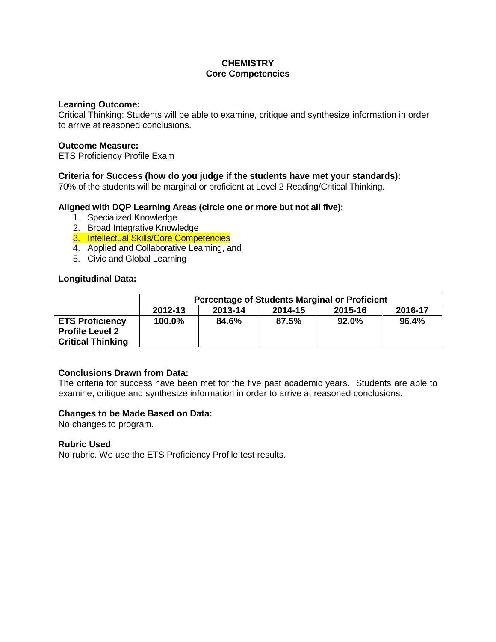# **CHEMISTRY Core Competencies**

#### **Learning Outcome:**

Critical Thinking: Students will be able to examine, critique and synthesize information in order to arrive at reasoned conclusions.

### **Outcome Measure:**

ETS Proficiency Profile Exam

# **Criteria for Success (how do you judge if the students have met your standards):**

70% of the students will be marginal or proficient at Level 2 Reading/Critical Thinking.

### **Aligned with DQP Learning Areas (circle one or more but not all five):**

- 1. Specialized Knowledge
- 2. Broad Integrative Knowledge
- 3. Intellectual Skills/Core Competencies
- 4. Applied and Collaborative Learning, and
- 5. Civic and Global Learning

### **Longitudinal Data:**

|                                                                              | <b>Percentage of Students Marginal or Proficient</b> |         |         |         |         |  |  |
|------------------------------------------------------------------------------|------------------------------------------------------|---------|---------|---------|---------|--|--|
|                                                                              | 2012-13                                              | 2013-14 | 2014-15 | 2015-16 | 2016-17 |  |  |
| <b>ETS Proficiency</b><br><b>Profile Level 2</b><br><b>Critical Thinking</b> | 100.0%                                               | 84.6%   | 87.5%   | 92.0%   | 96.4%   |  |  |

### **Conclusions Drawn from Data:**

The criteria for success have been met for the five past academic years. Students are able to examine, critique and synthesize information in order to arrive at reasoned conclusions.

### **Changes to be Made Based on Data:**

No changes to program.

### **Rubric Used**

No rubric. We use the ETS Proficiency Profile test results.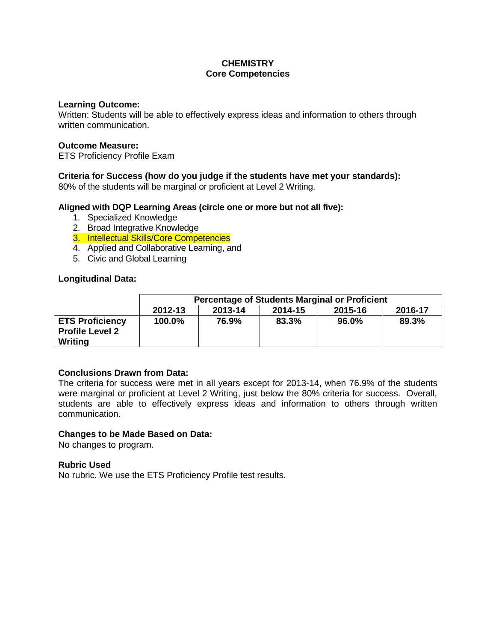# **CHEMISTRY Core Competencies**

#### **Learning Outcome:**

Written: Students will be able to effectively express ideas and information to others through written communication.

### **Outcome Measure:**

ETS Proficiency Profile Exam

# **Criteria for Success (how do you judge if the students have met your standards):**

80% of the students will be marginal or proficient at Level 2 Writing.

### **Aligned with DQP Learning Areas (circle one or more but not all five):**

- 1. Specialized Knowledge
- 2. Broad Integrative Knowledge
- 3. Intellectual Skills/Core Competencies
- 4. Applied and Collaborative Learning, and
- 5. Civic and Global Learning

### **Longitudinal Data:**

|                                                             | <b>Percentage of Students Marginal or Proficient</b> |         |         |         |         |  |  |
|-------------------------------------------------------------|------------------------------------------------------|---------|---------|---------|---------|--|--|
|                                                             | 2012-13                                              | 2013-14 | 2014-15 | 2015-16 | 2016-17 |  |  |
| <b>ETS Proficiency</b><br><b>Profile Level 2</b><br>Writing | 100.0%                                               | 76.9%   | 83.3%   | 96.0%   | 89.3%   |  |  |

### **Conclusions Drawn from Data:**

The criteria for success were met in all years except for 2013-14, when 76.9% of the students were marginal or proficient at Level 2 Writing, just below the 80% criteria for success. Overall, students are able to effectively express ideas and information to others through written communication.

#### **Changes to be Made Based on Data:**

No changes to program.

### **Rubric Used**

No rubric. We use the ETS Proficiency Profile test results.